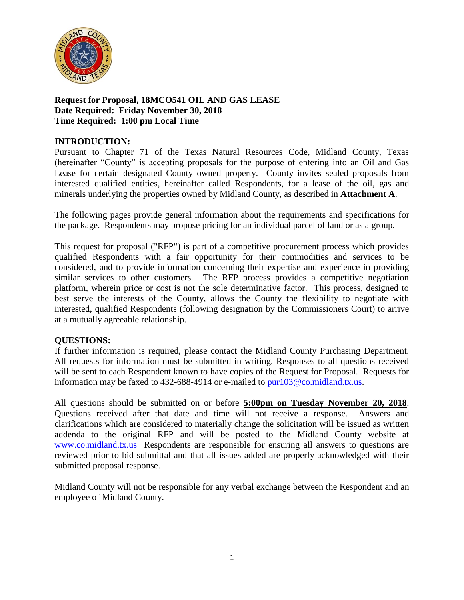

## **Request for Proposal, 18MCO541 OIL AND GAS LEASE Date Required: Friday November 30, 2018 Time Required: 1:00 pm Local Time**

## **INTRODUCTION:**

Pursuant to Chapter 71 of the Texas Natural Resources Code, Midland County, Texas (hereinafter "County" is accepting proposals for the purpose of entering into an Oil and Gas Lease for certain designated County owned property. County invites sealed proposals from interested qualified entities, hereinafter called Respondents, for a lease of the oil, gas and minerals underlying the properties owned by Midland County, as described in **Attachment A**.

The following pages provide general information about the requirements and specifications for the package. Respondents may propose pricing for an individual parcel of land or as a group.

This request for proposal ("RFP") is part of a competitive procurement process which provides qualified Respondents with a fair opportunity for their commodities and services to be considered, and to provide information concerning their expertise and experience in providing similar services to other customers. The RFP process provides a competitive negotiation platform, wherein price or cost is not the sole determinative factor. This process, designed to best serve the interests of the County, allows the County the flexibility to negotiate with interested, qualified Respondents (following designation by the Commissioners Court) to arrive at a mutually agreeable relationship.

## **QUESTIONS:**

If further information is required, please contact the Midland County Purchasing Department. All requests for information must be submitted in writing. Responses to all questions received will be sent to each Respondent known to have copies of the Request for Proposal. Requests for information may be faxed to 432-688-4914 or e-mailed to [pur103@co.midland.tx.us.](mailto:pur103@co.midland.tx.us)

All questions should be submitted on or before **5:00pm on Tuesday November 20, 2018**. Questions received after that date and time will not receive a response. Answers and clarifications which are considered to materially change the solicitation will be issued as written addenda to the original RFP and will be posted to the Midland County website at [www.co.midland.tx.us](http://www.co.midland.tx.us/) Respondents are responsible for ensuring all answers to questions are reviewed prior to bid submittal and that all issues added are properly acknowledged with their submitted proposal response.

Midland County will not be responsible for any verbal exchange between the Respondent and an employee of Midland County.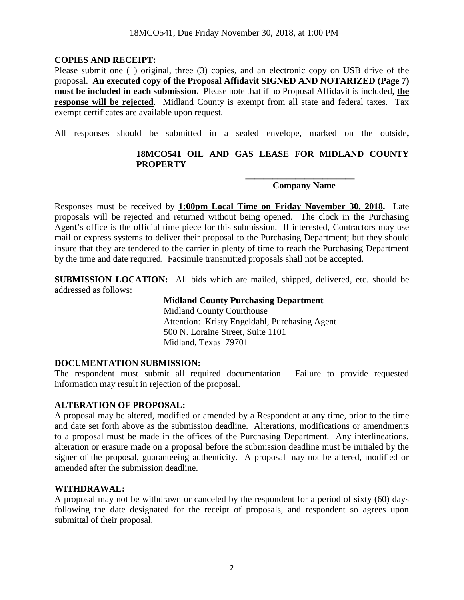#### **COPIES AND RECEIPT:**

Please submit one (1) original, three (3) copies, and an electronic copy on USB drive of the proposal. **An executed copy of the Proposal Affidavit SIGNED AND NOTARIZED (Page 7) must be included in each submission.** Please note that if no Proposal Affidavit is included, **the response will be rejected**. Midland County is exempt from all state and federal taxes. Tax exempt certificates are available upon request.

All responses should be submitted in a sealed envelope, marked on the outside**,** 

## **18MCO541 OIL AND GAS LEASE FOR MIDLAND COUNTY PROPERTY**

## **Company Name**

**\_\_\_\_\_\_\_\_\_\_\_\_\_\_\_\_\_\_\_\_\_\_\_\_**

Responses must be received by **1:00pm Local Time on Friday November 30, 2018.** Late proposals will be rejected and returned without being opened. The clock in the Purchasing Agent's office is the official time piece for this submission. If interested, Contractors may use mail or express systems to deliver their proposal to the Purchasing Department; but they should insure that they are tendered to the carrier in plenty of time to reach the Purchasing Department by the time and date required. Facsimile transmitted proposals shall not be accepted.

**SUBMISSION LOCATION:** All bids which are mailed, shipped, delivered, etc. should be addressed as follows:

> **Midland County Purchasing Department** Midland County Courthouse Attention: Kristy Engeldahl, Purchasing Agent 500 N. Loraine Street, Suite 1101 Midland, Texas 79701

#### **DOCUMENTATION SUBMISSION:**

The respondent must submit all required documentation. Failure to provide requested information may result in rejection of the proposal.

#### **ALTERATION OF PROPOSAL:**

A proposal may be altered, modified or amended by a Respondent at any time, prior to the time and date set forth above as the submission deadline. Alterations, modifications or amendments to a proposal must be made in the offices of the Purchasing Department. Any interlineations, alteration or erasure made on a proposal before the submission deadline must be initialed by the signer of the proposal, guaranteeing authenticity. A proposal may not be altered, modified or amended after the submission deadline.

#### **WITHDRAWAL:**

A proposal may not be withdrawn or canceled by the respondent for a period of sixty (60) days following the date designated for the receipt of proposals, and respondent so agrees upon submittal of their proposal.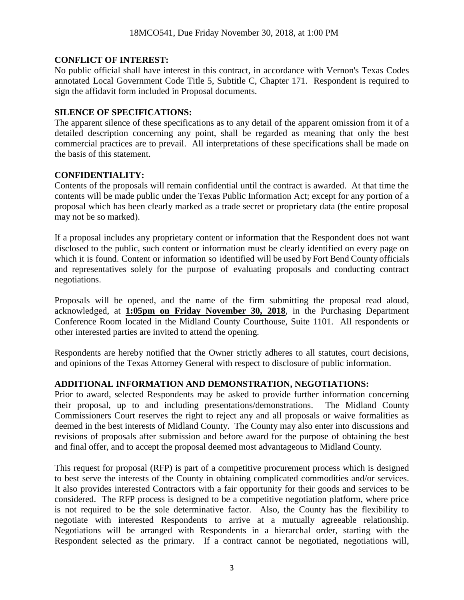## **CONFLICT OF INTEREST:**

No public official shall have interest in this contract, in accordance with Vernon's Texas Codes annotated Local Government Code Title 5, Subtitle C, Chapter 171. Respondent is required to sign the affidavit form included in Proposal documents.

## **SILENCE OF SPECIFICATIONS:**

The apparent silence of these specifications as to any detail of the apparent omission from it of a detailed description concerning any point, shall be regarded as meaning that only the best commercial practices are to prevail. All interpretations of these specifications shall be made on the basis of this statement.

# **CONFIDENTIALITY:**

Contents of the proposals will remain confidential until the contract is awarded. At that time the contents will be made public under the Texas Public Information Act; except for any portion of a proposal which has been clearly marked as a trade secret or proprietary data (the entire proposal may not be so marked).

If a proposal includes any proprietary content or information that the Respondent does not want disclosed to the public, such content or information must be clearly identified on every page on which it is found. Content or information so identified will be used by Fort Bend County officials and representatives solely for the purpose of evaluating proposals and conducting contract negotiations.

Proposals will be opened, and the name of the firm submitting the proposal read aloud, acknowledged, at **1:05pm on Friday November 30, 2018**, in the Purchasing Department Conference Room located in the Midland County Courthouse, Suite 1101. All respondents or other interested parties are invited to attend the opening.

Respondents are hereby notified that the Owner strictly adheres to all statutes, court decisions, and opinions of the Texas Attorney General with respect to disclosure of public information.

# **ADDITIONAL INFORMATION AND DEMONSTRATION, NEGOTIATIONS:**

Prior to award, selected Respondents may be asked to provide further information concerning their proposal, up to and including presentations/demonstrations. The Midland County Commissioners Court reserves the right to reject any and all proposals or waive formalities as deemed in the best interests of Midland County. The County may also enter into discussions and revisions of proposals after submission and before award for the purpose of obtaining the best and final offer, and to accept the proposal deemed most advantageous to Midland County.

This request for proposal (RFP) is part of a competitive procurement process which is designed to best serve the interests of the County in obtaining complicated commodities and/or services. It also provides interested Contractors with a fair opportunity for their goods and services to be considered. The RFP process is designed to be a competitive negotiation platform, where price is not required to be the sole determinative factor. Also, the County has the flexibility to negotiate with interested Respondents to arrive at a mutually agreeable relationship. Negotiations will be arranged with Respondents in a hierarchal order, starting with the Respondent selected as the primary. If a contract cannot be negotiated, negotiations will,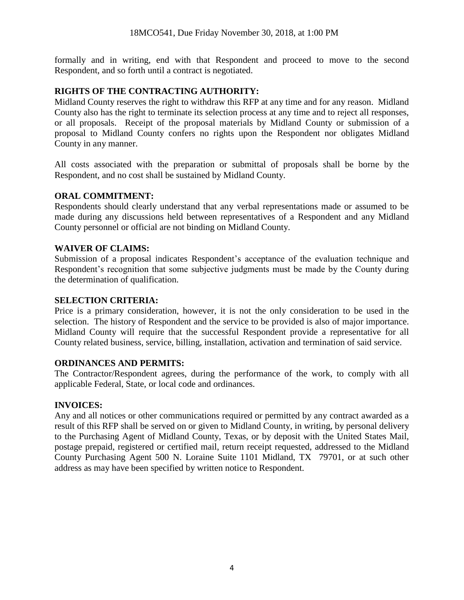formally and in writing, end with that Respondent and proceed to move to the second Respondent, and so forth until a contract is negotiated.

### **RIGHTS OF THE CONTRACTING AUTHORITY:**

Midland County reserves the right to withdraw this RFP at any time and for any reason. Midland County also has the right to terminate its selection process at any time and to reject all responses, or all proposals. Receipt of the proposal materials by Midland County or submission of a proposal to Midland County confers no rights upon the Respondent nor obligates Midland County in any manner.

All costs associated with the preparation or submittal of proposals shall be borne by the Respondent, and no cost shall be sustained by Midland County.

## **ORAL COMMITMENT:**

Respondents should clearly understand that any verbal representations made or assumed to be made during any discussions held between representatives of a Respondent and any Midland County personnel or official are not binding on Midland County.

### **WAIVER OF CLAIMS:**

Submission of a proposal indicates Respondent's acceptance of the evaluation technique and Respondent's recognition that some subjective judgments must be made by the County during the determination of qualification.

#### **SELECTION CRITERIA:**

Price is a primary consideration, however, it is not the only consideration to be used in the selection. The history of Respondent and the service to be provided is also of major importance. Midland County will require that the successful Respondent provide a representative for all County related business, service, billing, installation, activation and termination of said service.

#### **ORDINANCES AND PERMITS:**

The Contractor/Respondent agrees, during the performance of the work, to comply with all applicable Federal, State, or local code and ordinances.

#### **INVOICES:**

Any and all notices or other communications required or permitted by any contract awarded as a result of this RFP shall be served on or given to Midland County, in writing, by personal delivery to the Purchasing Agent of Midland County, Texas, or by deposit with the United States Mail, postage prepaid, registered or certified mail, return receipt requested, addressed to the Midland County Purchasing Agent 500 N. Loraine Suite 1101 Midland, TX 79701, or at such other address as may have been specified by written notice to Respondent.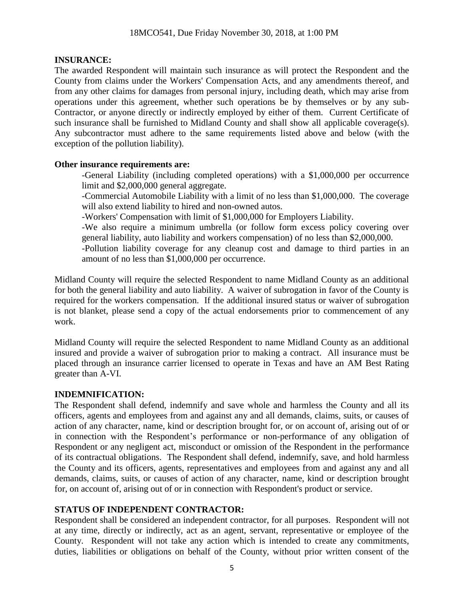### **INSURANCE:**

The awarded Respondent will maintain such insurance as will protect the Respondent and the County from claims under the Workers' Compensation Acts, and any amendments thereof, and from any other claims for damages from personal injury, including death, which may arise from operations under this agreement, whether such operations be by themselves or by any sub-Contractor, or anyone directly or indirectly employed by either of them. Current Certificate of such insurance shall be furnished to Midland County and shall show all applicable coverage(s). Any subcontractor must adhere to the same requirements listed above and below (with the exception of the pollution liability).

### **Other insurance requirements are:**

-General Liability (including completed operations) with a \$1,000,000 per occurrence limit and \$2,000,000 general aggregate.

-Commercial Automobile Liability with a limit of no less than \$1,000,000. The coverage will also extend liability to hired and non-owned autos.

-Workers' Compensation with limit of \$1,000,000 for Employers Liability.

-We also require a minimum umbrella (or follow form excess policy covering over general liability, auto liability and workers compensation) of no less than \$2,000,000.

-Pollution liability coverage for any cleanup cost and damage to third parties in an amount of no less than \$1,000,000 per occurrence.

Midland County will require the selected Respondent to name Midland County as an additional for both the general liability and auto liability. A waiver of subrogation in favor of the County is required for the workers compensation. If the additional insured status or waiver of subrogation is not blanket, please send a copy of the actual endorsements prior to commencement of any work.

Midland County will require the selected Respondent to name Midland County as an additional insured and provide a waiver of subrogation prior to making a contract. All insurance must be placed through an insurance carrier licensed to operate in Texas and have an AM Best Rating greater than A-VI.

## **INDEMNIFICATION:**

The Respondent shall defend, indemnify and save whole and harmless the County and all its officers, agents and employees from and against any and all demands, claims, suits, or causes of action of any character, name, kind or description brought for, or on account of, arising out of or in connection with the Respondent's performance or non-performance of any obligation of Respondent or any negligent act, misconduct or omission of the Respondent in the performance of its contractual obligations. The Respondent shall defend, indemnify, save, and hold harmless the County and its officers, agents, representatives and employees from and against any and all demands, claims, suits, or causes of action of any character, name, kind or description brought for, on account of, arising out of or in connection with Respondent's product or service.

## **STATUS OF INDEPENDENT CONTRACTOR:**

Respondent shall be considered an independent contractor, for all purposes. Respondent will not at any time, directly or indirectly, act as an agent, servant, representative or employee of the County. Respondent will not take any action which is intended to create any commitments, duties, liabilities or obligations on behalf of the County, without prior written consent of the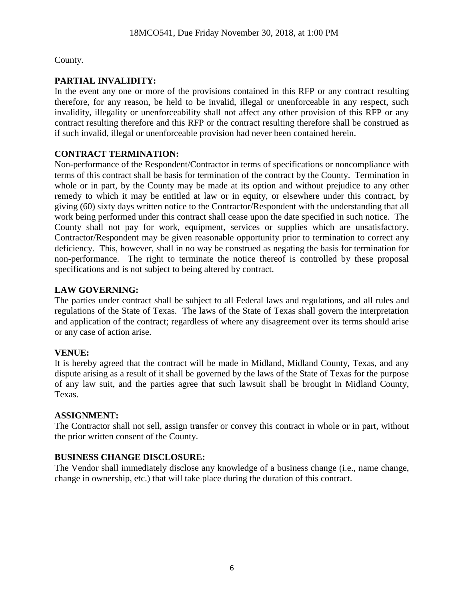County.

# **PARTIAL INVALIDITY:**

In the event any one or more of the provisions contained in this RFP or any contract resulting therefore, for any reason, be held to be invalid, illegal or unenforceable in any respect, such invalidity, illegality or unenforceability shall not affect any other provision of this RFP or any contract resulting therefore and this RFP or the contract resulting therefore shall be construed as if such invalid, illegal or unenforceable provision had never been contained herein.

## **CONTRACT TERMINATION:**

Non-performance of the Respondent/Contractor in terms of specifications or noncompliance with terms of this contract shall be basis for termination of the contract by the County. Termination in whole or in part, by the County may be made at its option and without prejudice to any other remedy to which it may be entitled at law or in equity, or elsewhere under this contract, by giving (60) sixty days written notice to the Contractor/Respondent with the understanding that all work being performed under this contract shall cease upon the date specified in such notice. The County shall not pay for work, equipment, services or supplies which are unsatisfactory. Contractor/Respondent may be given reasonable opportunity prior to termination to correct any deficiency. This, however, shall in no way be construed as negating the basis for termination for non-performance. The right to terminate the notice thereof is controlled by these proposal specifications and is not subject to being altered by contract.

## **LAW GOVERNING:**

The parties under contract shall be subject to all Federal laws and regulations, and all rules and regulations of the State of Texas. The laws of the State of Texas shall govern the interpretation and application of the contract; regardless of where any disagreement over its terms should arise or any case of action arise.

# **VENUE:**

It is hereby agreed that the contract will be made in Midland, Midland County, Texas, and any dispute arising as a result of it shall be governed by the laws of the State of Texas for the purpose of any law suit, and the parties agree that such lawsuit shall be brought in Midland County, Texas.

## **ASSIGNMENT:**

The Contractor shall not sell, assign transfer or convey this contract in whole or in part, without the prior written consent of the County.

# **BUSINESS CHANGE DISCLOSURE:**

The Vendor shall immediately disclose any knowledge of a business change (i.e., name change, change in ownership, etc.) that will take place during the duration of this contract.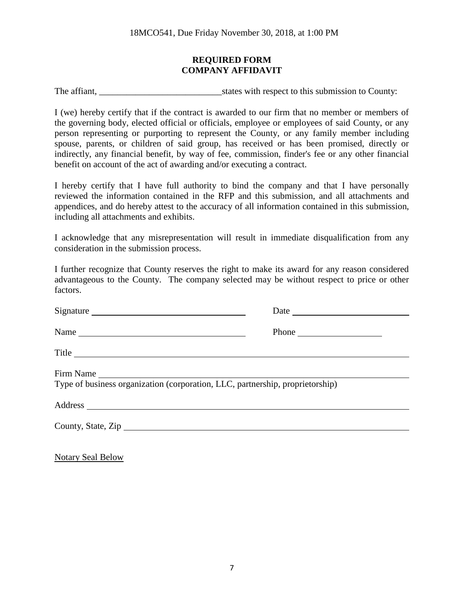#### **REQUIRED FORM COMPANY AFFIDAVIT**

The affiant, \_\_\_\_\_\_\_\_\_\_\_\_\_\_\_\_\_\_\_\_\_\_\_\_\_\_\_states with respect to this submission to County:

I (we) hereby certify that if the contract is awarded to our firm that no member or members of the governing body, elected official or officials, employee or employees of said County, or any person representing or purporting to represent the County, or any family member including spouse, parents, or children of said group, has received or has been promised, directly or indirectly, any financial benefit, by way of fee, commission, finder's fee or any other financial benefit on account of the act of awarding and/or executing a contract.

I hereby certify that I have full authority to bind the company and that I have personally reviewed the information contained in the RFP and this submission, and all attachments and appendices, and do hereby attest to the accuracy of all information contained in this submission, including all attachments and exhibits.

I acknowledge that any misrepresentation will result in immediate disqualification from any consideration in the submission process.

I further recognize that County reserves the right to make its award for any reason considered advantageous to the County. The company selected may be without respect to price or other factors.

| Signature                                                                                  |                                                                                      |  |
|--------------------------------------------------------------------------------------------|--------------------------------------------------------------------------------------|--|
| Name                                                                                       | Phone $\frac{1}{\sqrt{1-\frac{1}{2}}\sqrt{1-\frac{1}{2}}\left(1-\frac{1}{2}\right)}$ |  |
| Title                                                                                      |                                                                                      |  |
| Firm Name<br>Type of business organization (corporation, LLC, partnership, proprietorship) |                                                                                      |  |
|                                                                                            |                                                                                      |  |
| County, State, Zip                                                                         |                                                                                      |  |
|                                                                                            |                                                                                      |  |

Notary Seal Below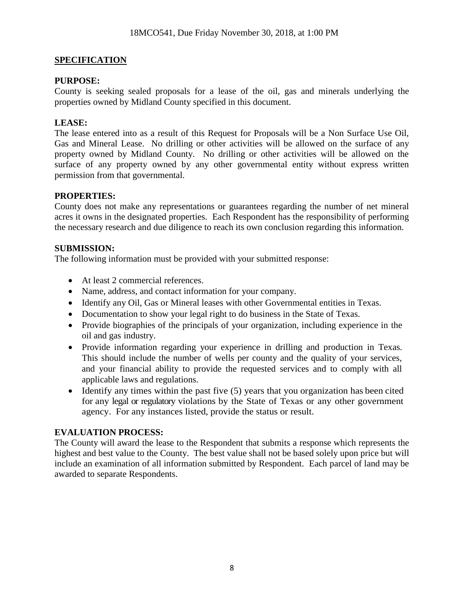## **SPECIFICATION**

### **PURPOSE:**

County is seeking sealed proposals for a lease of the oil, gas and minerals underlying the properties owned by Midland County specified in this document.

### **LEASE:**

The lease entered into as a result of this Request for Proposals will be a Non Surface Use Oil, Gas and Mineral Lease. No drilling or other activities will be allowed on the surface of any property owned by Midland County. No drilling or other activities will be allowed on the surface of any property owned by any other governmental entity without express written permission from that governmental.

### **PROPERTIES:**

County does not make any representations or guarantees regarding the number of net mineral acres it owns in the designated properties. Each Respondent has the responsibility of performing the necessary research and due diligence to reach its own conclusion regarding this information.

#### **SUBMISSION:**

The following information must be provided with your submitted response:

- At least 2 commercial references.
- Name, address, and contact information for your company.
- Identify any Oil, Gas or Mineral leases with other Governmental entities in Texas.
- Documentation to show your legal right to do business in the State of Texas.
- Provide biographies of the principals of your organization, including experience in the oil and gas industry.
- Provide information regarding your experience in drilling and production in Texas. This should include the number of wells per county and the quality of your services, and your financial ability to provide the requested services and to comply with all applicable laws and regulations.
- Identify any times within the past five (5) years that you organization has been cited for any legal or regulatory violations by the State of Texas or any other government agency. For any instances listed, provide the status or result.

#### **EVALUATION PROCESS:**

The County will award the lease to the Respondent that submits a response which represents the highest and best value to the County. The best value shall not be based solely upon price but will include an examination of all information submitted by Respondent. Each parcel of land may be awarded to separate Respondents.